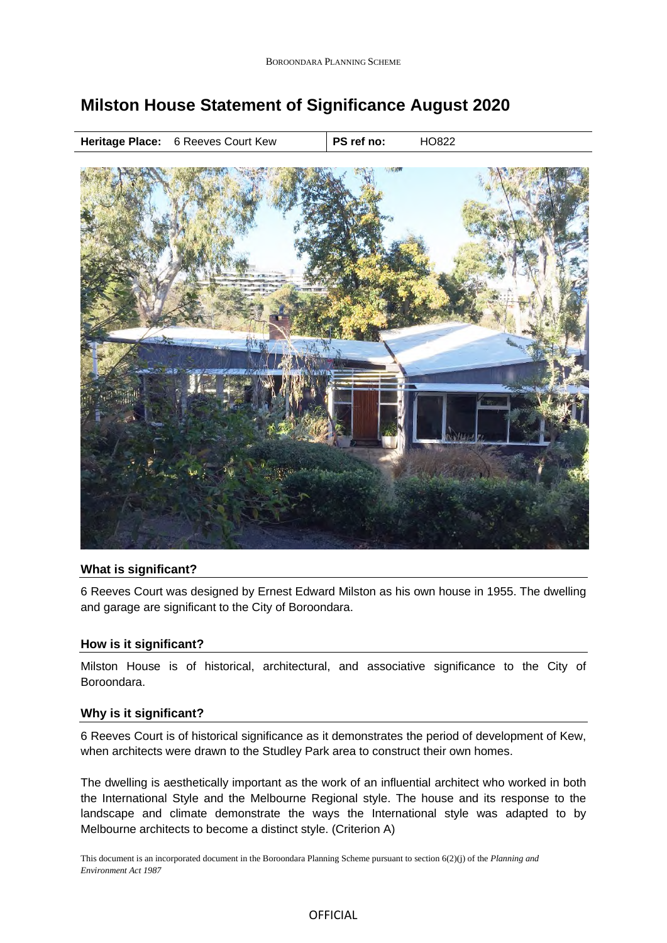# **Milston House Statement of Significance August 2020**



## **What is significant?**

6 Reeves Court was designed by Ernest Edward Milston as his own house in 1955. The dwelling and garage are significant to the City of Boroondara.

#### **How is it significant?**

Milston House is of historical, architectural, and associative significance to the City of Boroondara.

### **Why is it significant?**

6 Reeves Court is of historical significance as it demonstrates the period of development of Kew, when architects were drawn to the Studley Park area to construct their own homes.

The dwelling is aesthetically important as the work of an influential architect who worked in both the International Style and the Melbourne Regional style. The house and its response to the landscape and climate demonstrate the ways the International style was adapted to by Melbourne architects to become a distinct style. (Criterion A)

This document is an incorporated document in the Boroondara Planning Scheme pursuant to section 6(2)(j) of the *Planning and Environment Act 1987*

### **OFFICIAL**